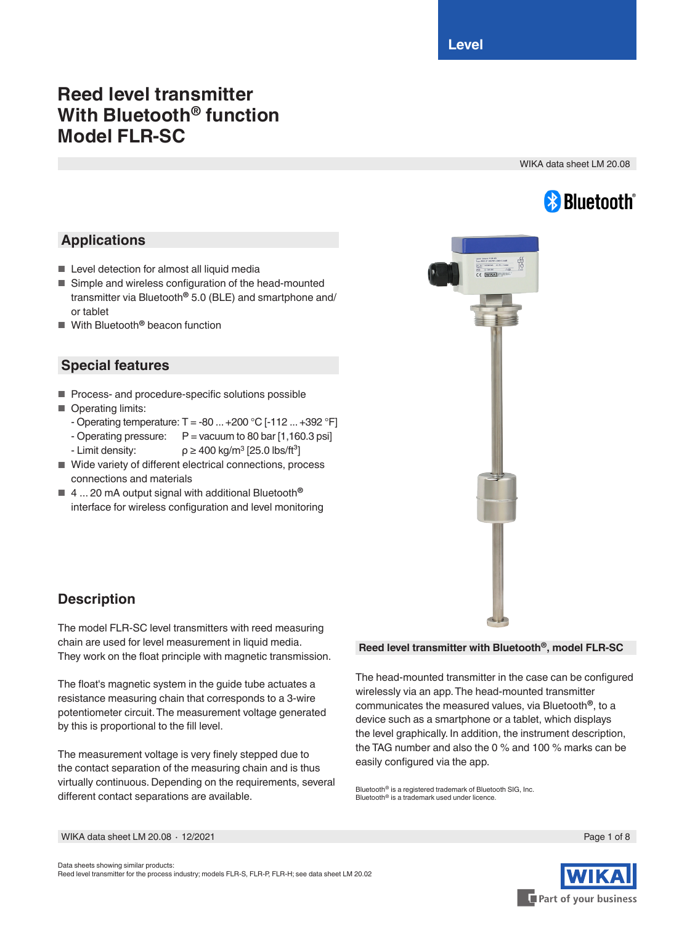# **Reed level transmitter With Bluetooth® function Model FLR-SC**

WIKA data sheet LM 20.08



## **Applications**

- Level detection for almost all liquid media
- Simple and wireless configuration of the head-mounted transmitter via Bluetooth**®** 5.0 (BLE) and smartphone and/ or tablet
- With Bluetooth<sup>®</sup> beacon function

## **Special features**

- Process- and procedure-specific solutions possible
- Operating limits:
	- Operating temperature: T = -80 ... +200 °C [-112 ... +392 °F]
	- Operating pressure:  $P = vacuum$  to 80 bar [1,160.3 psi]
	- Limit density:  $\rho \geq 400 \text{ kg/m}^3$  [25.0 lbs/ft<sup>3</sup>]
- Wide variety of different electrical connections, process connections and materials
- 4 ... 20 mA output signal with additional Bluetooth<sup>®</sup> interface for wireless configuration and level monitoring



## **Description**

The model FLR-SC level transmitters with reed measuring chain are used for level measurement in liquid media. They work on the float principle with magnetic transmission.

The float's magnetic system in the guide tube actuates a resistance measuring chain that corresponds to a 3-wire potentiometer circuit. The measurement voltage generated by this is proportional to the fill level.

The measurement voltage is very finely stepped due to the contact separation of the measuring chain and is thus virtually continuous. Depending on the requirements, several different contact separations are available.

#### **Reed level transmitter with Bluetooth®, model FLR-SC**

The head-mounted transmitter in the case can be configured wirelessly via an app. The head-mounted transmitter communicates the measured values, via Bluetooth**®**, to a device such as a smartphone or a tablet, which displays the level graphically. In addition, the instrument description, the TAG number and also the 0 % and 100 % marks can be easily configured via the app.

Bluetooth® is a registered trademark of Bluetooth SIG, Inc. Bluetooth® is a trademark used under licence.



WIKA data sheet LM 20.08 ∙ 12/2021 Page 1 of 8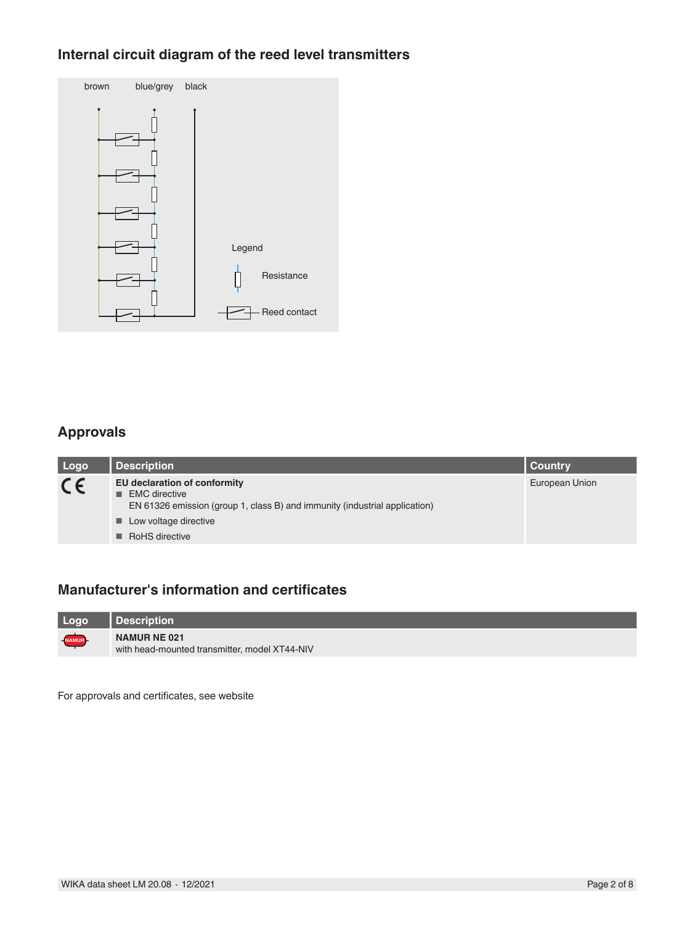# **Internal circuit diagram of the reed level transmitters**

| brown | blue/grey black |              |
|-------|-----------------|--------------|
|       |                 |              |
|       |                 | Legend       |
|       |                 | Resistance   |
|       |                 | Reed contact |

## **Approvals**

| Logo    | <b>Description</b>                                                                                                                                                                | Country        |
|---------|-----------------------------------------------------------------------------------------------------------------------------------------------------------------------------------|----------------|
| $C \in$ | EU declaration of conformity<br><b>EMC</b> directive<br>EN 61326 emission (group 1, class B) and immunity (industrial application)<br>■ Low voltage directive<br>■ RoHS directive | European Union |

### **Manufacturer's information and certificates**

| Logo         | l Description                                                        |
|--------------|----------------------------------------------------------------------|
| <b>NAMUR</b> | <b>NAMUR NE 021</b><br>with head-mounted transmitter, model XT44-NIV |

For approvals and certificates, see website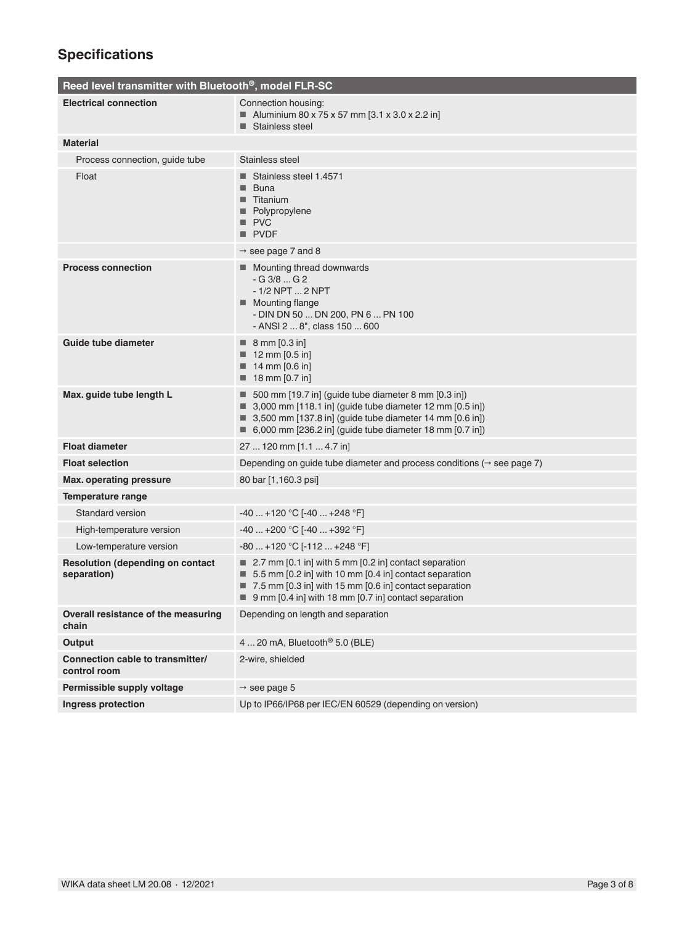# **Specifications**

| Reed level transmitter with Bluetooth <sup>®</sup> , model FLR-SC |                                                                                                                                                                                                                                              |
|-------------------------------------------------------------------|----------------------------------------------------------------------------------------------------------------------------------------------------------------------------------------------------------------------------------------------|
| <b>Electrical connection</b>                                      | Connection housing:<br>■ Aluminium 80 x 75 x 57 mm [3.1 x 3.0 x 2.2 in]<br>■ Stainless steel                                                                                                                                                 |
| <b>Material</b>                                                   |                                                                                                                                                                                                                                              |
| Process connection, guide tube                                    | Stainless steel                                                                                                                                                                                                                              |
| Float                                                             | ■ Stainless steel 1.4571<br>■ Buna<br>■ Titanium<br>Polypropylene<br>PVC<br>$\blacksquare$ PVDF                                                                                                                                              |
|                                                                   | $\rightarrow$ see page 7 and 8                                                                                                                                                                                                               |
| <b>Process connection</b>                                         | ■ Mounting thread downwards<br>$-G3/8G2$<br>$-1/2$ NPT $$ 2 NPT<br>■ Mounting flange<br>- DIN DN 50  DN 200, PN 6  PN 100<br>- ANSI 2  8", class 150  600                                                                                    |
| Guide tube diameter                                               | $\blacksquare$ 8 mm [0.3 in]<br>$12$ mm [0.5 in]<br>$\blacksquare$ 14 mm [0.6 in]<br>$\blacksquare$ 18 mm [0.7 in]                                                                                                                           |
| Max. guide tube length L                                          | 500 mm [19.7 in] (quide tube diameter 8 mm [0.3 in])<br>3,000 mm [118.1 in] (guide tube diameter 12 mm $[0.5$ in])<br>3,500 mm [137.8 in] (guide tube diameter 14 mm [0.6 in])<br>■ 6,000 mm [236.2 in] (guide tube diameter 18 mm [0.7 in]) |
| <b>Float diameter</b>                                             | 27  120 mm [1.1  4.7 in]                                                                                                                                                                                                                     |
| <b>Float selection</b>                                            | Depending on guide tube diameter and process conditions ( $\rightarrow$ see page 7)                                                                                                                                                          |
| <b>Max. operating pressure</b>                                    | 80 bar [1,160.3 psi]                                                                                                                                                                                                                         |
| Temperature range                                                 |                                                                                                                                                                                                                                              |
| <b>Standard version</b>                                           | $-40+120 °C$ [-40  +248 °F]                                                                                                                                                                                                                  |
| High-temperature version                                          | $-40+200 °C$ [ $-40+392 °F$ ]                                                                                                                                                                                                                |
| Low-temperature version                                           | $-80+120$ °C [-112  +248 °F]                                                                                                                                                                                                                 |
| <b>Resolution (depending on contact</b><br>separation)            | 2.7 mm [0.1 in] with 5 mm [0.2 in] contact separation<br>5.5 mm [0.2 in] with 10 mm [0.4 in] contact separation<br>7.5 mm [0.3 in] with 15 mm [0.6 in] contact separation<br>9 mm [0.4 in] with 18 mm [0.7 in] contact separation            |
| Overall resistance of the measuring<br>chain                      | Depending on length and separation                                                                                                                                                                                                           |
| Output                                                            | 4  20 mA, Bluetooth <sup>®</sup> 5.0 (BLE)                                                                                                                                                                                                   |
| Connection cable to transmitter/<br>control room                  | 2-wire, shielded                                                                                                                                                                                                                             |
| Permissible supply voltage                                        | $\rightarrow$ see page 5                                                                                                                                                                                                                     |
| Ingress protection                                                | Up to IP66/IP68 per IEC/EN 60529 (depending on version)                                                                                                                                                                                      |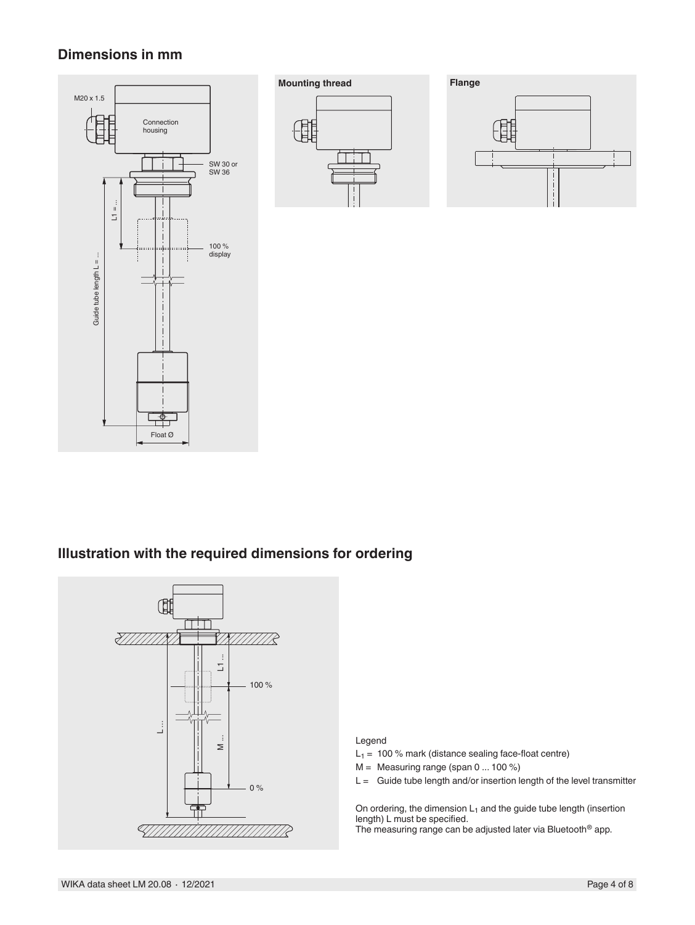### **Dimensions in mm**







## **Illustration with the required dimensions for ordering**



#### Legend

 $L_1 = 100 %$  mark (distance sealing face-float centre)

 $M =$  Measuring range (span 0 ... 100 %)

 $L =$  Guide tube length and/or insertion length of the level transmitter

On ordering, the dimension  $L_1$  and the guide tube length (insertion length) L must be specified.

The measuring range can be adjusted later via Bluetooth® app.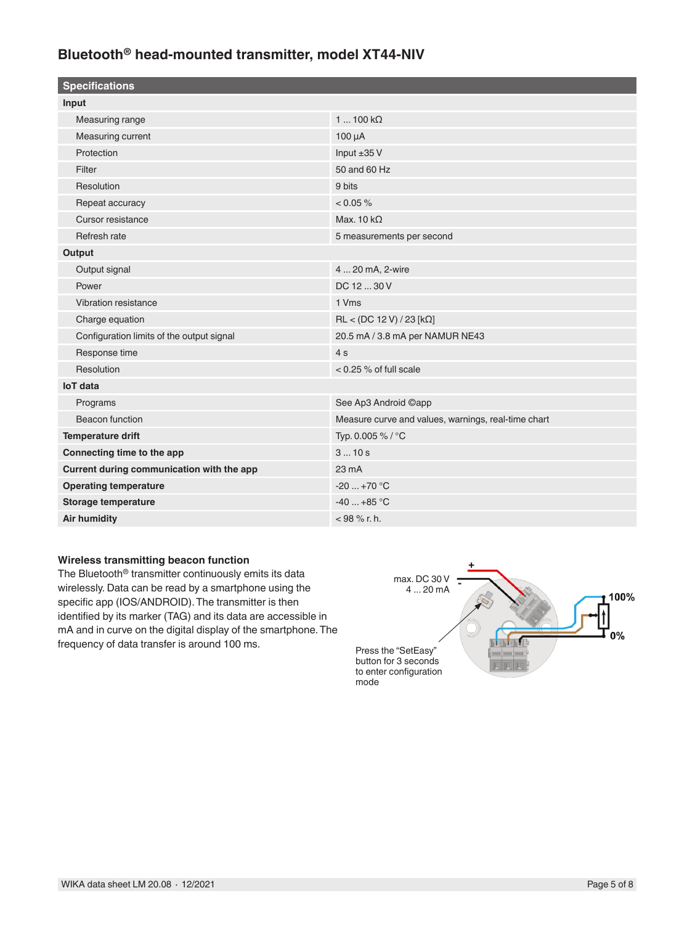# **Bluetooth® head-mounted transmitter, model XT44-NIV**

| $1100 k\Omega$                                      |
|-----------------------------------------------------|
| $100 \mu A$                                         |
| Input ±35 V                                         |
| 50 and 60 Hz                                        |
| 9 bits                                              |
| $< 0.05 \%$                                         |
| Max. 10 $k\Omega$                                   |
| 5 measurements per second                           |
|                                                     |
| 4  20 mA, 2-wire                                    |
| DC 12  30 V                                         |
| 1 Vms                                               |
| RL < (DC 12 V) / 23 [kΩ]                            |
| 20.5 mA / 3.8 mA per NAMUR NE43                     |
| 4s                                                  |
| < 0.25 % of full scale                              |
|                                                     |
| See Ap3 Android ©app                                |
| Measure curve and values, warnings, real-time chart |
| Typ. 0.005 % / °C                                   |
| 310s                                                |
| 23 mA                                               |
| $-20+70$ °C                                         |
| $-40+85$ °C                                         |
| $<$ 98 % r. h.                                      |
|                                                     |

#### **Wireless transmitting beacon function**

The Bluetooth® transmitter continuously emits its data wirelessly. Data can be read by a smartphone using the specific app (IOS/ANDROID). The transmitter is then identified by its marker (TAG) and its data are accessible in mA and in curve on the digital display of the smartphone. The frequency of data transfer is around 100 ms.

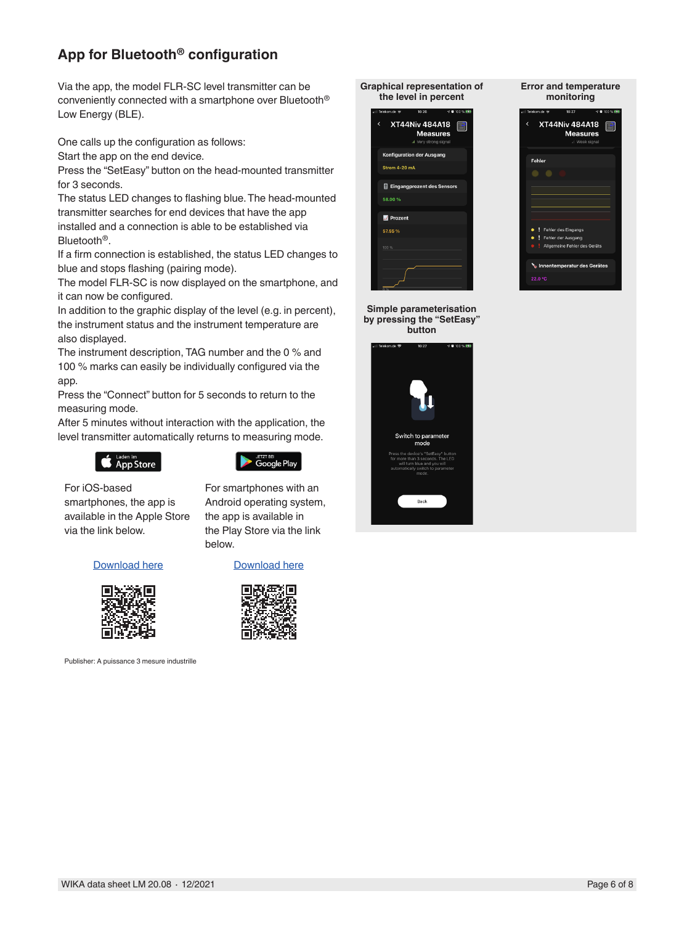# **App for Bluetooth® configuration**

Via the app, the model FLR-SC level transmitter can be conveniently connected with a smartphone over Bluetooth® Low Energy (BLE).

One calls up the configuration as follows:

Start the app on the end device.

Press the "SetEasy" button on the head-mounted transmitter for 3 seconds.

The status LED changes to flashing blue. The head-mounted transmitter searches for end devices that have the app installed and a connection is able to be established via Bluetooth®.

If a firm connection is established, the status LED changes to blue and stops flashing (pairing mode).

The model FLR-SC is now displayed on the smartphone, and it can now be configured.

In addition to the graphic display of the level (e.g. in percent), the instrument status and the instrument temperature are also displayed.

The instrument description, TAG number and the 0 % and 100 % marks can easily be individually configured via the app.

Press the "Connect" button for 5 seconds to return to the measuring mode.

After 5 minutes without interaction with the application, the level transmitter automatically returns to measuring mode.

below.





For smartphones with an Android operating system, the app is available in the Play Store via the link

For iOS-based smartphones, the app is available in the Apple Store via the link below.



Publisher: A puissance 3 mesure industrille

Download here **Download here** 



**Graphical representation of the level in percent**



**Simple parameterisation by pressing the "SetEasy" button**



**Error and temperature monitoring** XT44Niv 484A18 e **Measures** Fehl

| . !<br>Fehler des Eingangs   |
|------------------------------|
| <b>.</b> Fehler der Ausgang  |
| Allgemeine Fehler des Geräts |
|                              |
| Innentemperatur des Gerätes  |
| 22.0 °                       |

WIKA data sheet LM 20.08 ⋅ 12/2021 Page 6 of 8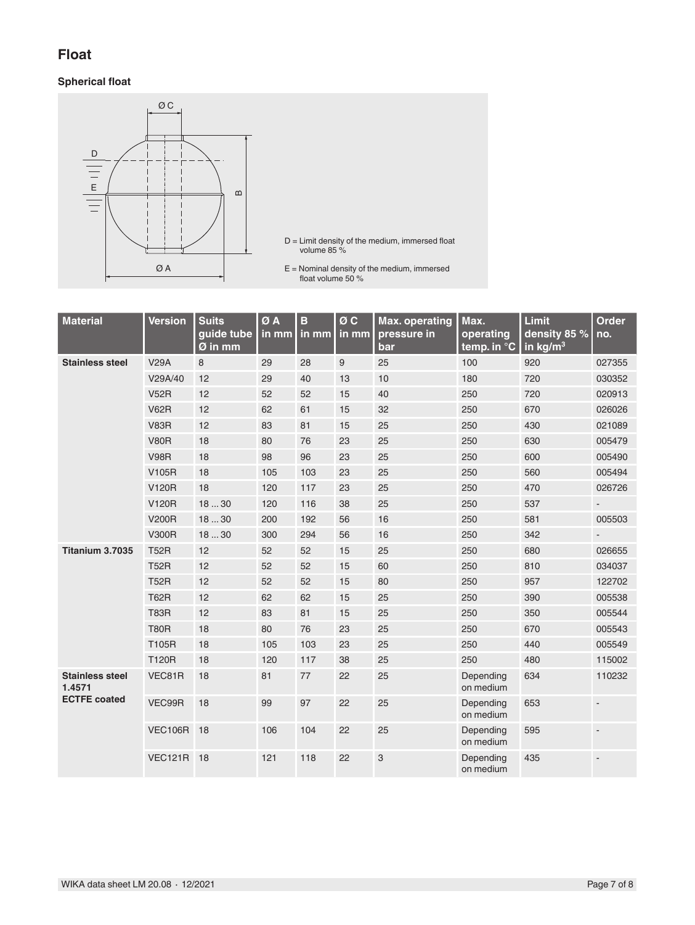## **Float**

#### **Spherical float**



- D = Limit density of the medium, immersed float volume 85 %
- E = Nominal density of the medium, immersed float volume 50 %

| <b>Material</b>                  | <b>Version</b>    | <b>Suits</b><br>guide tube<br>$\overline{\omega}$ in mm | ØA<br>in mm | $\mathbf{B}$<br>in mm | $\sigma \overline{c}$<br>in mm | <b>Max. operating</b><br>pressure in<br>bar | Max.<br>operating<br>temp. in °C | Limit<br>density 85 %<br>in $\text{kg/m}^3$ | <b>Order</b><br>no. |
|----------------------------------|-------------------|---------------------------------------------------------|-------------|-----------------------|--------------------------------|---------------------------------------------|----------------------------------|---------------------------------------------|---------------------|
| <b>Stainless steel</b>           | <b>V29A</b>       | 8                                                       | 29          | 28                    | $9\,$                          | 25                                          | 100                              | 920                                         | 027355              |
|                                  | V29A/40           | 12                                                      | 29          | 40                    | 13                             | 10                                          | 180                              | 720                                         | 030352              |
|                                  | <b>V52R</b>       | 12                                                      | 52          | 52                    | 15                             | 40                                          | 250                              | 720                                         | 020913              |
|                                  | <b>V62R</b>       | 12                                                      | 62          | 61                    | 15                             | 32                                          | 250                              | 670                                         | 026026              |
|                                  | <b>V83R</b>       | 12                                                      | 83          | 81                    | 15                             | 25                                          | 250                              | 430                                         | 021089              |
|                                  | <b>V80R</b>       | 18                                                      | 80          | 76                    | 23                             | 25                                          | 250                              | 630                                         | 005479              |
|                                  | <b>V98R</b>       | 18                                                      | 98          | 96                    | 23                             | 25                                          | 250                              | 600                                         | 005490              |
|                                  | V105R             | 18                                                      | 105         | 103                   | 23                             | 25                                          | 250                              | 560                                         | 005494              |
|                                  | <b>V120R</b>      | 18                                                      | 120         | 117                   | 23                             | 25                                          | 250                              | 470                                         | 026726              |
|                                  | <b>V120R</b>      | 1830                                                    | 120         | 116                   | 38                             | 25                                          | 250                              | 537                                         |                     |
|                                  | <b>V200R</b>      | 1830                                                    | 200         | 192                   | 56                             | 16                                          | 250                              | 581                                         | 005503              |
|                                  | <b>V300R</b>      | 1830                                                    | 300         | 294                   | 56                             | 16                                          | 250                              | 342                                         |                     |
| Titanium 3.7035                  | <b>T52R</b>       | 12                                                      | 52          | 52                    | 15                             | 25                                          | 250                              | 680                                         | 026655              |
|                                  | <b>T52R</b>       | 12                                                      | 52          | 52                    | 15                             | 60                                          | 250                              | 810                                         | 034037              |
|                                  | <b>T52R</b>       | 12                                                      | 52          | 52                    | 15                             | 80                                          | 250                              | 957                                         | 122702              |
|                                  | <b>T62R</b>       | 12                                                      | 62          | 62                    | 15                             | 25                                          | 250                              | 390                                         | 005538              |
|                                  | <b>T83R</b>       | 12                                                      | 83          | 81                    | 15                             | 25                                          | 250                              | 350                                         | 005544              |
|                                  | <b>T80R</b>       | 18                                                      | 80          | 76                    | 23                             | 25                                          | 250                              | 670                                         | 005543              |
|                                  | T105R             | 18                                                      | 105         | 103                   | 23                             | 25                                          | 250                              | 440                                         | 005549              |
|                                  | <b>T120R</b>      | 18                                                      | 120         | 117                   | 38                             | 25                                          | 250                              | 480                                         | 115002              |
| <b>Stainless steel</b><br>1.4571 | VEC81R            | 18                                                      | 81          | 77                    | 22                             | 25                                          | Depending<br>on medium           | 634                                         | 110232              |
| <b>ECTFE coated</b>              | VEC99R            | 18                                                      | 99          | 97                    | 22                             | 25                                          | Depending<br>on medium           | 653                                         |                     |
|                                  | <b>VEC106R 18</b> |                                                         | 106         | 104                   | 22                             | 25                                          | Depending<br>on medium           | 595                                         |                     |
|                                  | VEC121R 18        |                                                         | 121         | 118                   | 22                             | $\ensuremath{\mathsf{3}}$                   | Depending<br>on medium           | 435                                         |                     |